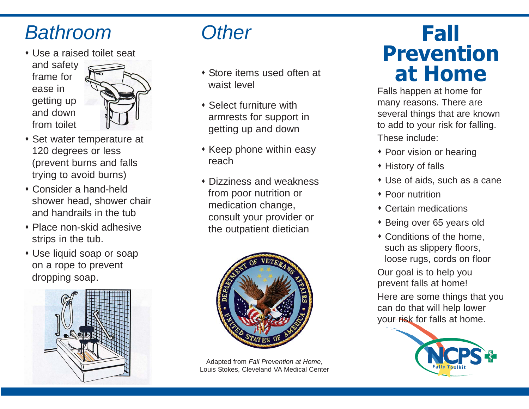## Bathroom

Use a raised toilet seat





- Set water temperature at 120 degrees or less (prevent burns and falls trying to avoid burns)
- Consider a hand-held shower head, shower chair and handrails in the tub
- Place non-skid adhesive strips in the tub.
- Use liquid soap or soap on a rope to prevent dropping soap.



## **Other**

- Store items used often at waist level
- Select furniture with armrests for support in getting up and down
- $\cdot$  Keep phone within easy reach
- Dizziness and weakness from poor nutrition or medication change, consult your provider or the outpatient dietician



Adapted from Fall Prevention at Home, Louis Stokes, Cleveland VA Medical Center

# **Fall Prevention at Home**

Falls happen at home for many reasons. There are several things that are known to add to your risk for falling. These include:

- Poor vision or hearing
- History of falls
- Use of aids, such as a cane
- Poor nutrition
- Certain medications
- ◆ Being over 65 years old
- Conditions of the home, such as slippery floors, loose rugs, cords on floor

Our goal is to help you prevent falls at home!

Here are some things that you can do that will help lower your risk for falls at home.